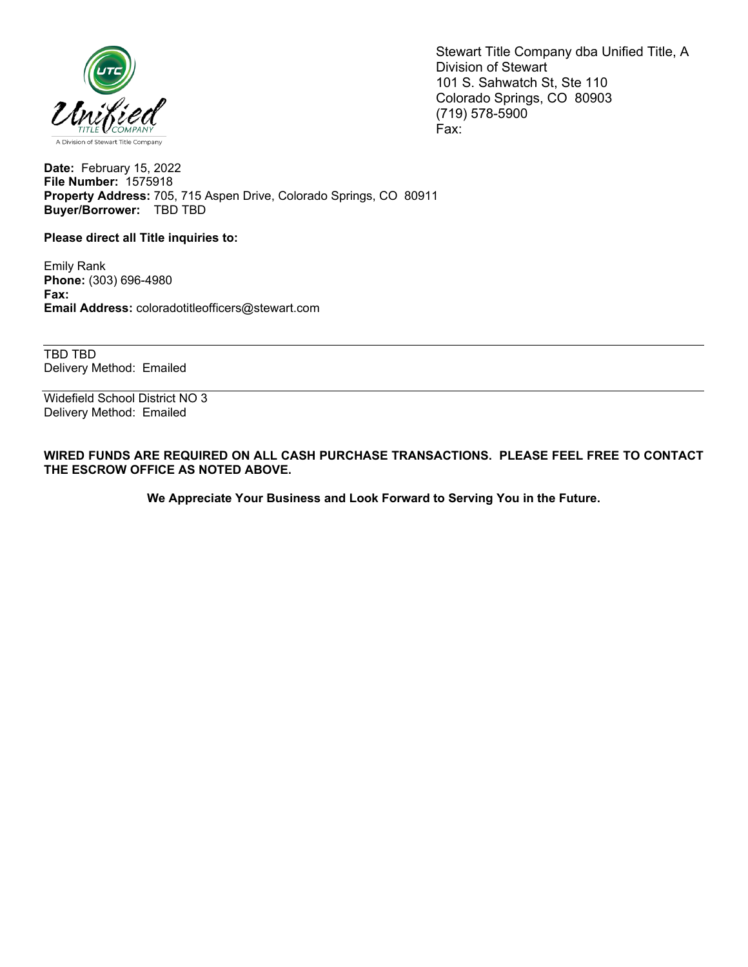

Stewart Title Company dba Unified Title, A Division of Stewart 101 S. Sahwatch St, Ste 110 Colorado Springs, CO 80903 (719) 578-5900 Fax:

**Date:** February 15, 2022 **File Number:** 1575918 **Property Address:** 705, 715 Aspen Drive, Colorado Springs, CO 80911 **Buyer/Borrower:** TBD TBD

**Please direct all Title inquiries to:**

Emily Rank **Phone:** (303) 696-4980 **Fax: Email Address:** coloradotitleofficers@stewart.com

TBD TBD Delivery Method: Emailed

Widefield School District NO 3 Delivery Method: Emailed

**WIRED FUNDS ARE REQUIRED ON ALL CASH PURCHASE TRANSACTIONS. PLEASE FEEL FREE TO CONTACT THE ESCROW OFFICE AS NOTED ABOVE.**

**We Appreciate Your Business and Look Forward to Serving You in the Future.**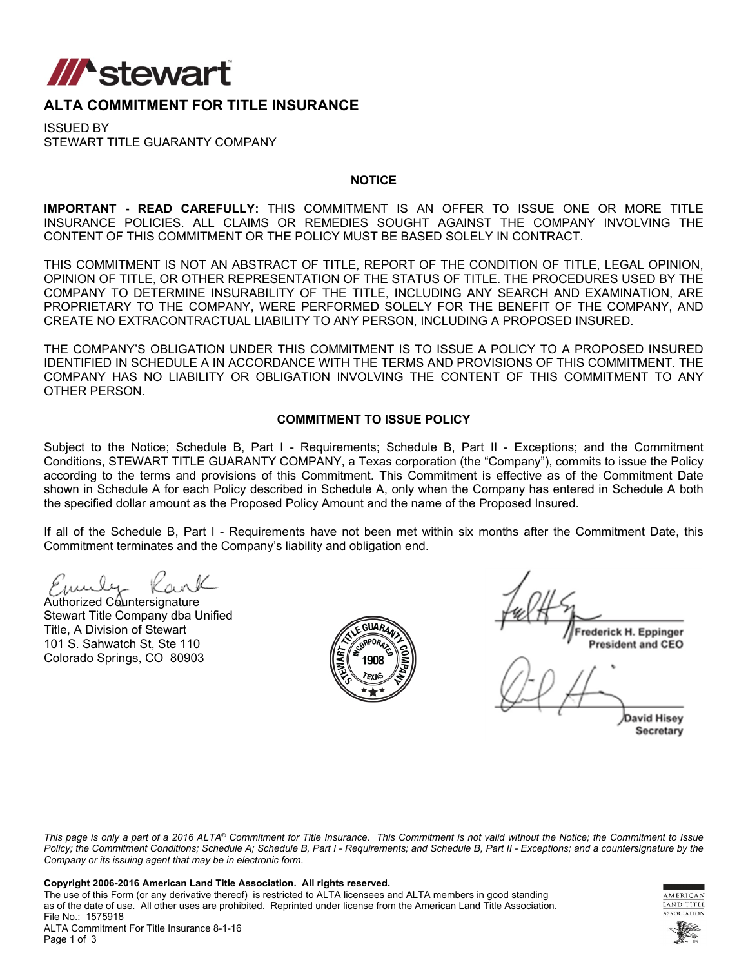

## **ALTA COMMITMENT FOR TITLE INSURANCE**

ISSUED BY STEWART TITLE GUARANTY COMPANY

#### **NOTICE**

**IMPORTANT - READ CAREFULLY:** THIS COMMITMENT IS AN OFFER TO ISSUE ONE OR MORE TITLE INSURANCE POLICIES. ALL CLAIMS OR REMEDIES SOUGHT AGAINST THE COMPANY INVOLVING THE CONTENT OF THIS COMMITMENT OR THE POLICY MUST BE BASED SOLELY IN CONTRACT.

THIS COMMITMENT IS NOT AN ABSTRACT OF TITLE, REPORT OF THE CONDITION OF TITLE, LEGAL OPINION, OPINION OF TITLE, OR OTHER REPRESENTATION OF THE STATUS OF TITLE. THE PROCEDURES USED BY THE COMPANY TO DETERMINE INSURABILITY OF THE TITLE, INCLUDING ANY SEARCH AND EXAMINATION, ARE PROPRIETARY TO THE COMPANY, WERE PERFORMED SOLELY FOR THE BENEFIT OF THE COMPANY, AND CREATE NO EXTRACONTRACTUAL LIABILITY TO ANY PERSON, INCLUDING A PROPOSED INSURED.

THE COMPANY'S OBLIGATION UNDER THIS COMMITMENT IS TO ISSUE A POLICY TO A PROPOSED INSURED IDENTIFIED IN SCHEDULE A IN ACCORDANCE WITH THE TERMS AND PROVISIONS OF THIS COMMITMENT. THE COMPANY HAS NO LIABILITY OR OBLIGATION INVOLVING THE CONTENT OF THIS COMMITMENT TO ANY OTHER PERSON.

### **COMMITMENT TO ISSUE POLICY**

Subject to the Notice; Schedule B, Part I - Requirements; Schedule B, Part II - Exceptions; and the Commitment Conditions, STEWART TITLE GUARANTY COMPANY, a Texas corporation (the "Company"), commits to issue the Policy according to the terms and provisions of this Commitment. This Commitment is effective as of the Commitment Date shown in Schedule A for each Policy described in Schedule A, only when the Company has entered in Schedule A both the specified dollar amount as the Proposed Policy Amount and the name of the Proposed Insured.

If all of the Schedule B, Part I - Requirements have not been met within six months after the Commitment Date, this Commitment terminates and the Company's liability and obligation end.

Authorized Countersignature Stewart Title Company dba Unified Title, A Division of Stewart 101 S. Sahwatch St, Ste 110 Colorado Springs, CO 80903



rederick H. Eppinger **President and CEO** 

**David Hisey** Secretary

*This page is only a part of a 2016 ALTA® Commitment for Title Insurance. This Commitment is not valid without the Notice; the Commitment to Issue Policy; the Commitment Conditions; Schedule A; Schedule B, Part I - Requirements; and Schedule B, Part II - Exceptions; and a countersignature by the Company or its issuing agent that may be in electronic form.*



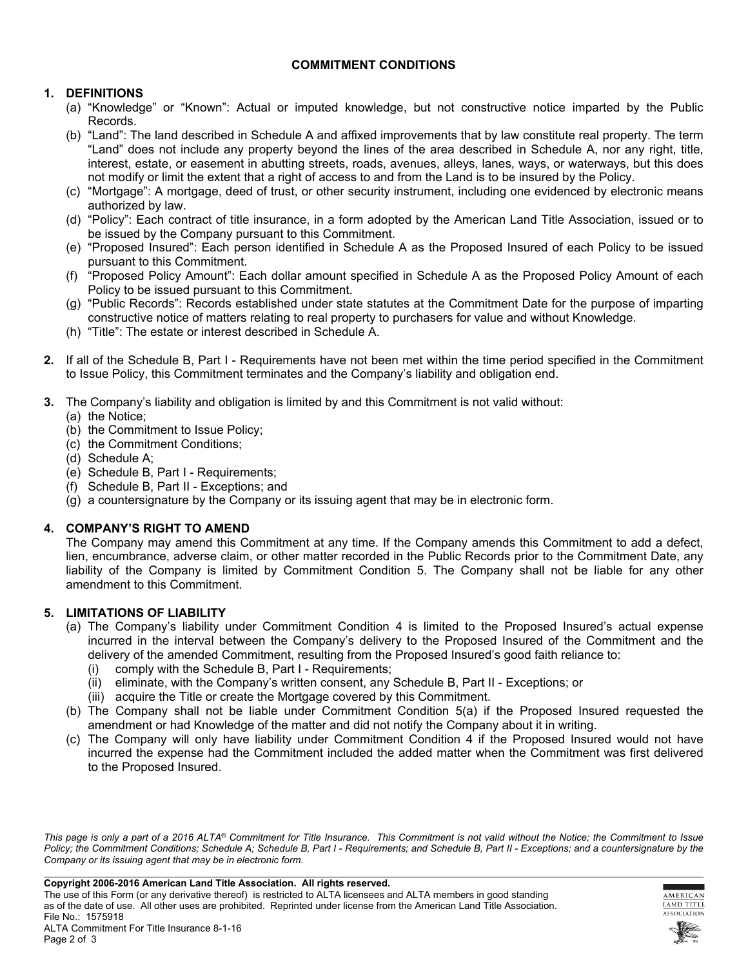### **COMMITMENT CONDITIONS**

## **1. DEFINITIONS**

- (a) "Knowledge" or "Known": Actual or imputed knowledge, but not constructive notice imparted by the Public Records.
- (b) "Land": The land described in Schedule A and affixed improvements that by law constitute real property. The term "Land" does not include any property beyond the lines of the area described in Schedule A, nor any right, title, interest, estate, or easement in abutting streets, roads, avenues, alleys, lanes, ways, or waterways, but this does not modify or limit the extent that a right of access to and from the Land is to be insured by the Policy.
- (c) "Mortgage": A mortgage, deed of trust, or other security instrument, including one evidenced by electronic means authorized by law.
- (d) "Policy": Each contract of title insurance, in a form adopted by the American Land Title Association, issued or to be issued by the Company pursuant to this Commitment.
- (e) "Proposed Insured": Each person identified in Schedule A as the Proposed Insured of each Policy to be issued pursuant to this Commitment.
- (f) "Proposed Policy Amount": Each dollar amount specified in Schedule A as the Proposed Policy Amount of each Policy to be issued pursuant to this Commitment.
- (g) "Public Records": Records established under state statutes at the Commitment Date for the purpose of imparting constructive notice of matters relating to real property to purchasers for value and without Knowledge.
- (h) "Title": The estate or interest described in Schedule A.
- **2.** If all of the Schedule B, Part I Requirements have not been met within the time period specified in the Commitment to Issue Policy, this Commitment terminates and the Company's liability and obligation end.
- **3.** The Company's liability and obligation is limited by and this Commitment is not valid without:
	- (a) the Notice;
	- (b) the Commitment to Issue Policy;
	- (c) the Commitment Conditions;
	- (d) Schedule A;
	- (e) Schedule B, Part I Requirements;
	- (f) Schedule B, Part II Exceptions; and
	- (g) a countersignature by the Company or its issuing agent that may be in electronic form.

### **4. COMPANY'S RIGHT TO AMEND**

The Company may amend this Commitment at any time. If the Company amends this Commitment to add a defect, lien, encumbrance, adverse claim, or other matter recorded in the Public Records prior to the Commitment Date, any liability of the Company is limited by Commitment Condition 5. The Company shall not be liable for any other amendment to this Commitment.

### **5. LIMITATIONS OF LIABILITY**

- (a) The Company's liability under Commitment Condition 4 is limited to the Proposed Insured's actual expense incurred in the interval between the Company's delivery to the Proposed Insured of the Commitment and the delivery of the amended Commitment, resulting from the Proposed Insured's good faith reliance to:
	- (i) comply with the Schedule B, Part I Requirements;
	- (ii) eliminate, with the Company's written consent, any Schedule B, Part II Exceptions; or
	- (iii) acquire the Title or create the Mortgage covered by this Commitment.
- (b) The Company shall not be liable under Commitment Condition 5(a) if the Proposed Insured requested the amendment or had Knowledge of the matter and did not notify the Company about it in writing.
- (c) The Company will only have liability under Commitment Condition 4 if the Proposed Insured would not have incurred the expense had the Commitment included the added matter when the Commitment was first delivered to the Proposed Insured.

*This page is only a part of a 2016 ALTA® Commitment for Title Insurance. This Commitment is not valid without the Notice; the Commitment to Issue Policy; the Commitment Conditions; Schedule A; Schedule B, Part I - Requirements; and Schedule B, Part II - Exceptions; and a countersignature by the Company or its issuing agent that may be in electronic form.*



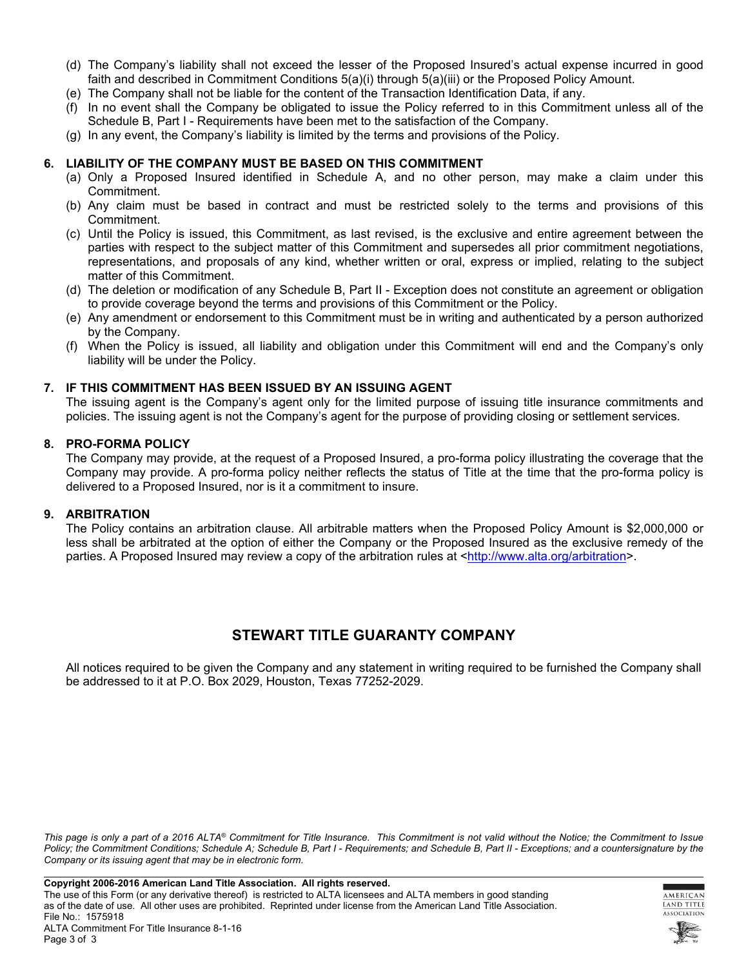- (d) The Company's liability shall not exceed the lesser of the Proposed Insured's actual expense incurred in good faith and described in Commitment Conditions 5(a)(i) through 5(a)(iii) or the Proposed Policy Amount.
- (e) The Company shall not be liable for the content of the Transaction Identification Data, if any.
- (f) In no event shall the Company be obligated to issue the Policy referred to in this Commitment unless all of the Schedule B, Part I - Requirements have been met to the satisfaction of the Company.
- (g) In any event, the Company's liability is limited by the terms and provisions of the Policy.

#### **6. LIABILITY OF THE COMPANY MUST BE BASED ON THIS COMMITMENT**

- (a) Only a Proposed Insured identified in Schedule A, and no other person, may make a claim under this Commitment.
- (b) Any claim must be based in contract and must be restricted solely to the terms and provisions of this Commitment.
- (c) Until the Policy is issued, this Commitment, as last revised, is the exclusive and entire agreement between the parties with respect to the subject matter of this Commitment and supersedes all prior commitment negotiations, representations, and proposals of any kind, whether written or oral, express or implied, relating to the subject matter of this Commitment.
- (d) The deletion or modification of any Schedule B, Part II Exception does not constitute an agreement or obligation to provide coverage beyond the terms and provisions of this Commitment or the Policy.
- (e) Any amendment or endorsement to this Commitment must be in writing and authenticated by a person authorized by the Company.
- (f) When the Policy is issued, all liability and obligation under this Commitment will end and the Company's only liability will be under the Policy.

#### **7. IF THIS COMMITMENT HAS BEEN ISSUED BY AN ISSUING AGENT**

The issuing agent is the Company's agent only for the limited purpose of issuing title insurance commitments and policies. The issuing agent is not the Company's agent for the purpose of providing closing or settlement services.

#### **8. PRO-FORMA POLICY**

The Company may provide, at the request of a Proposed Insured, a pro-forma policy illustrating the coverage that the Company may provide. A pro-forma policy neither reflects the status of Title at the time that the pro-forma policy is delivered to a Proposed Insured, nor is it a commitment to insure.

### **9. ARBITRATION**

The Policy contains an arbitration clause. All arbitrable matters when the Proposed Policy Amount is \$2,000,000 or less shall be arbitrated at the option of either the Company or the Proposed Insured as the exclusive remedy of the parties. A Proposed Insured may review a copy of the arbitration rules at <[http://www.alta.org/arbitration>](http://www.alta.org/arbitration).

## **STEWART TITLE GUARANTY COMPANY**

All notices required to be given the Company and any statement in writing required to be furnished the Company shall be addressed to it at P.O. Box 2029, Houston, Texas 77252-2029.

*This page is only a part of a 2016 ALTA® Commitment for Title Insurance. This Commitment is not valid without the Notice; the Commitment to Issue*  Policy; the Commitment Conditions; Schedule A; Schedule B, Part I - Requirements; and Schedule B, Part II - Exceptions; and a countersignature by the *Company or its issuing agent that may be in electronic form.*



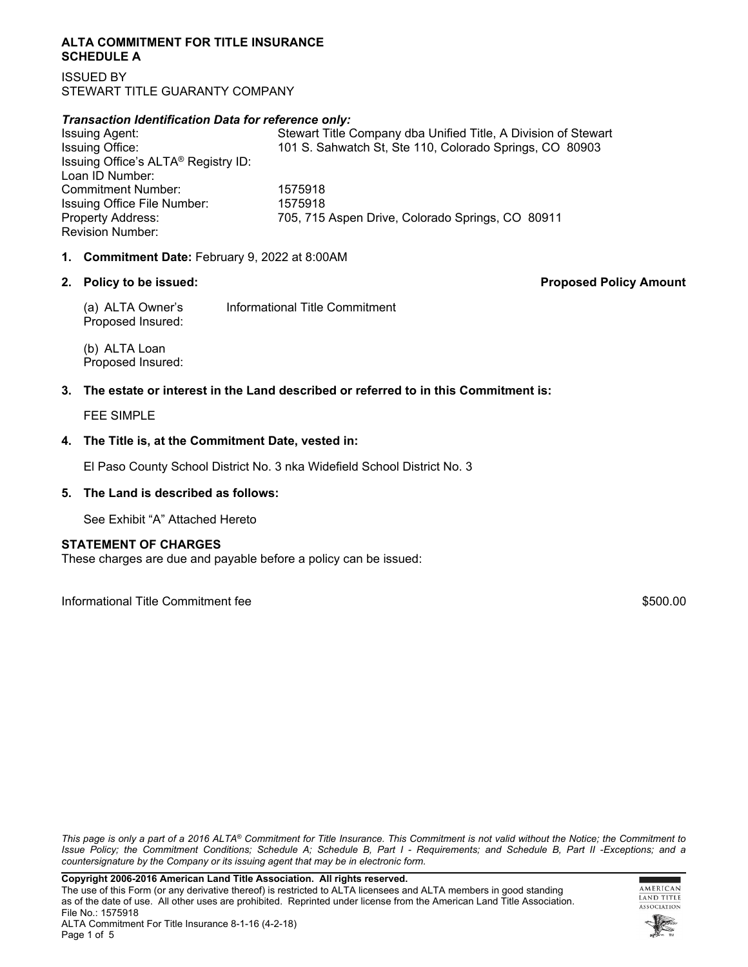#### **ALTA COMMITMENT FOR TITLE INSURANCE SCHEDULE A**

ISSUED BY STEWART TITLE GUARANTY COMPANY

### *Transaction Identification Data for reference only:*

| <b>Issuing Agent:</b>                           | Stewart Title Company dba Unified Title, A Division of Stewart |
|-------------------------------------------------|----------------------------------------------------------------|
| Issuing Office:                                 | 101 S. Sahwatch St, Ste 110, Colorado Springs, CO 80903        |
| Issuing Office's ALTA <sup>®</sup> Registry ID: |                                                                |
| Loan ID Number:                                 |                                                                |
| Commitment Number:                              | 1575918                                                        |
| Issuing Office File Number:                     | 1575918                                                        |
| <b>Property Address:</b>                        | 705, 715 Aspen Drive, Colorado Springs, CO 80911               |
| <b>Revision Number:</b>                         |                                                                |
|                                                 |                                                                |

### **1. Commitment Date:** February 9, 2022 at 8:00AM

### **2. Policy to be issued: Proposed Policy Amount**

(a) ALTA Owner's Informational Title Commitment Proposed Insured:

(b) ALTA Loan Proposed Insured:

### **3. The estate or interest in the Land described or referred to in this Commitment is:**

FEE SIMPLE

### **4. The Title is, at the Commitment Date, vested in:**

El Paso County School District No. 3 nka Widefield School District No. 3

### **5. The Land is described as follows:**

See Exhibit "A" Attached Hereto

### **STATEMENT OF CHARGES**

These charges are due and payable before a policy can be issued:

Informational Title Commitment fee \$500.00

*This page is only a part of a 2016 ALTA® Commitment for Title Insurance. This Commitment is not valid without the Notice; the Commitment to Issue Policy; the Commitment Conditions; Schedule A; Schedule B, Part I - Requirements; and Schedule B, Part II -Exceptions; and a countersignature by the Company or its issuing agent that may be in electronic form.*



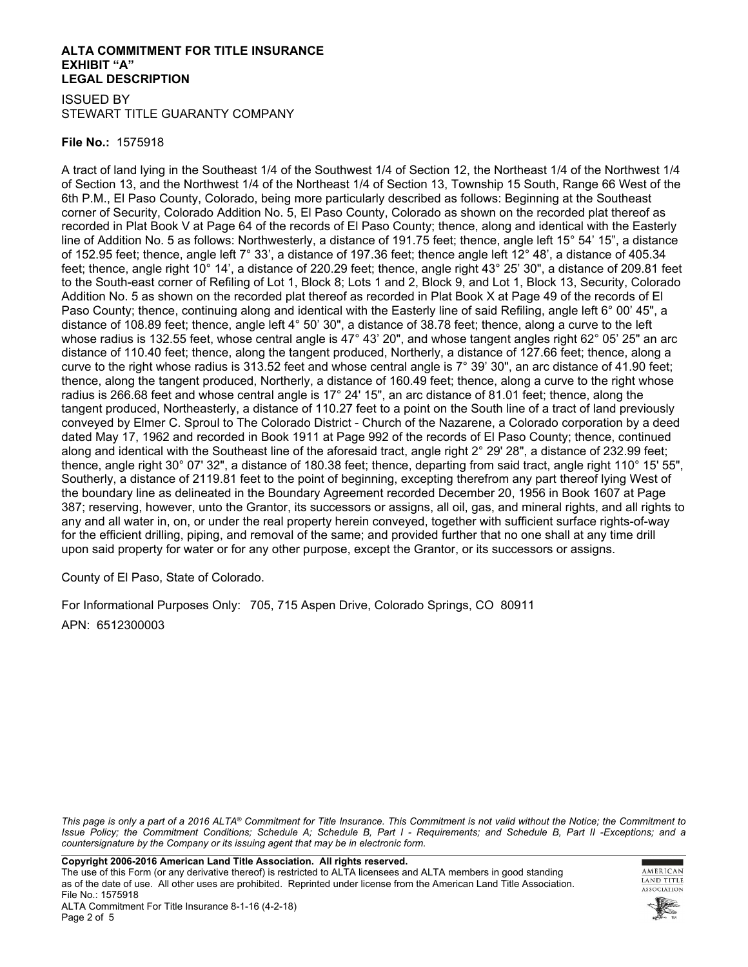### **ALTA COMMITMENT FOR TITLE INSURANCE EXHIBIT "A" LEGAL DESCRIPTION**

ISSUED BY STEWART TITLE GUARANTY COMPANY

### **File No.:** 1575918

A tract of land lying in the Southeast 1/4 of the Southwest 1/4 of Section 12, the Northeast 1/4 of the Northwest 1/4 of Section 13, and the Northwest 1/4 of the Northeast 1/4 of Section 13, Township 15 South, Range 66 West of the 6th P.M., El Paso County, Colorado, being more particularly described as follows: Beginning at the Southeast corner of Security, Colorado Addition No. 5, El Paso County, Colorado as shown on the recorded plat thereof as recorded in Plat Book V at Page 64 of the records of El Paso County; thence, along and identical with the Easterly line of Addition No. 5 as follows: Northwesterly, a distance of 191.75 feet; thence, angle left 15° 54' 15", a distance of 152.95 feet; thence, angle left 7° 33', a distance of 197.36 feet; thence angle left 12° 48', a distance of 405.34 feet; thence, angle right 10° 14', a distance of 220.29 feet; thence, angle right 43° 25' 30", a distance of 209.81 feet to the South-east corner of Refiling of Lot 1, Block 8; Lots 1 and 2, Block 9, and Lot 1, Block 13, Security, Colorado Addition No. 5 as shown on the recorded plat thereof as recorded in Plat Book X at Page 49 of the records of El Paso County; thence, continuing along and identical with the Easterly line of said Refiling, angle left 6° 00' 45", a distance of 108.89 feet; thence, angle left 4° 50' 30", a distance of 38.78 feet; thence, along a curve to the left whose radius is 132.55 feet, whose central angle is 47° 43' 20", and whose tangent angles right 62° 05' 25" an arc distance of 110.40 feet; thence, along the tangent produced, Northerly, a distance of 127.66 feet; thence, along a curve to the right whose radius is 313.52 feet and whose central angle is 7° 39' 30", an arc distance of 41.90 feet; thence, along the tangent produced, Northerly, a distance of 160.49 feet; thence, along a curve to the right whose radius is 266.68 feet and whose central angle is 17° 24' 15", an arc distance of 81.01 feet; thence, along the tangent produced, Northeasterly, a distance of 110.27 feet to a point on the South line of a tract of land previously conveyed by Elmer C. Sproul to The Colorado District - Church of the Nazarene, a Colorado corporation by a deed dated May 17, 1962 and recorded in Book 1911 at Page 992 of the records of El Paso County; thence, continued along and identical with the Southeast line of the aforesaid tract, angle right 2° 29' 28", a distance of 232.99 feet; thence, angle right 30° 07' 32", a distance of 180.38 feet; thence, departing from said tract, angle right 110° 15' 55", Southerly, a distance of 2119.81 feet to the point of beginning, excepting therefrom any part thereof lying West of the boundary line as delineated in the Boundary Agreement recorded December 20, 1956 in Book 1607 at Page 387; reserving, however, unto the Grantor, its successors or assigns, all oil, gas, and mineral rights, and all rights to any and all water in, on, or under the real property herein conveyed, together with sufficient surface rights-of-way for the efficient drilling, piping, and removal of the same; and provided further that no one shall at any time drill upon said property for water or for any other purpose, except the Grantor, or its successors or assigns.

County of El Paso, State of Colorado.

For Informational Purposes Only: 705, 715 Aspen Drive, Colorado Springs, CO 80911 APN: 6512300003

*This page is only a part of a 2016 ALTA® Commitment for Title Insurance. This Commitment is not valid without the Notice; the Commitment to Issue Policy; the Commitment Conditions; Schedule A; Schedule B, Part I - Requirements; and Schedule B, Part II -Exceptions; and a countersignature by the Company or its issuing agent that may be in electronic form.*

**Copyright 2006-2016 American Land Title Association. All rights reserved.** 

The use of this Form (or any derivative thereof) is restricted to ALTA licensees and ALTA members in good standing as of the date of use. All other uses are prohibited. Reprinted under license from the American Land Title Association. File No.: 1575918

AMERICAN **LAND TITLE** ASSOCIATION

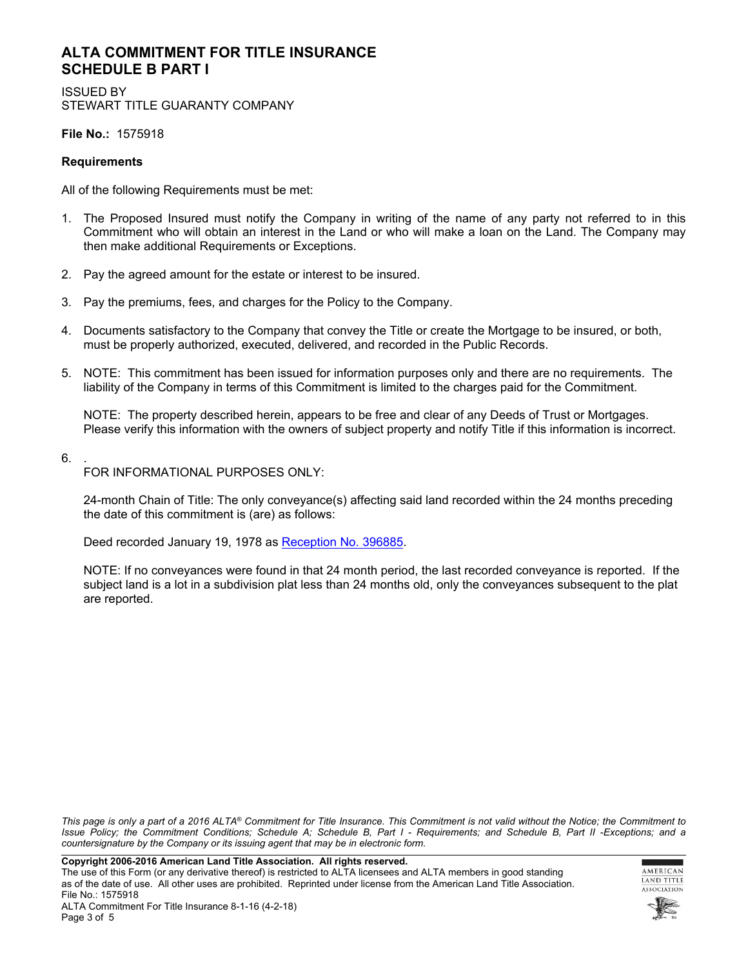## **ALTA COMMITMENT FOR TITLE INSURANCE SCHEDULE B PART I**

ISSUED BY STEWART TITLE GUARANTY COMPANY

**File No.:** 1575918

### **Requirements**

All of the following Requirements must be met:

- 1. The Proposed Insured must notify the Company in writing of the name of any party not referred to in this Commitment who will obtain an interest in the Land or who will make a loan on the Land. The Company may then make additional Requirements or Exceptions.
- 2. Pay the agreed amount for the estate or interest to be insured.
- 3. Pay the premiums, fees, and charges for the Policy to the Company.
- 4. Documents satisfactory to the Company that convey the Title or create the Mortgage to be insured, or both, must be properly authorized, executed, delivered, and recorded in the Public Records.
- 5. NOTE: This commitment has been issued for information purposes only and there are no requirements. The liability of the Company in terms of this Commitment is limited to the charges paid for the Commitment.

NOTE: The property described herein, appears to be free and clear of any Deeds of Trust or Mortgages. Please verify this information with the owners of subject property and notify Title if this information is incorrect.

6. .

FOR INFORMATIONAL PURPOSES ONLY:

24-month Chain of Title: The only conveyance(s) affecting said land recorded within the 24 months preceding the date of this commitment is (are) as follows:

Deed recorded January 19, 1978 as [Reception No. 396885](https://online2.stewart.com/DownloadDocument.aspx?DocumentID=172634461).

NOTE: If no conveyances were found in that 24 month period, the last recorded conveyance is reported. If the subject land is a lot in a subdivision plat less than 24 months old, only the conveyances subsequent to the plat are reported.

*This page is only a part of a 2016 ALTA® Commitment for Title Insurance. This Commitment is not valid without the Notice; the Commitment to Issue Policy; the Commitment Conditions; Schedule A; Schedule B, Part I - Requirements; and Schedule B, Part II -Exceptions; and a countersignature by the Company or its issuing agent that may be in electronic form.*

**Copyright 2006-2016 American Land Title Association. All rights reserved.** 

The use of this Form (or any derivative thereof) is restricted to ALTA licensees and ALTA members in good standing as of the date of use. All other uses are prohibited. Reprinted under license from the American Land Title Association. File No.: 1575918

AMERICAN **LAND TITLE** ASSOCIATION

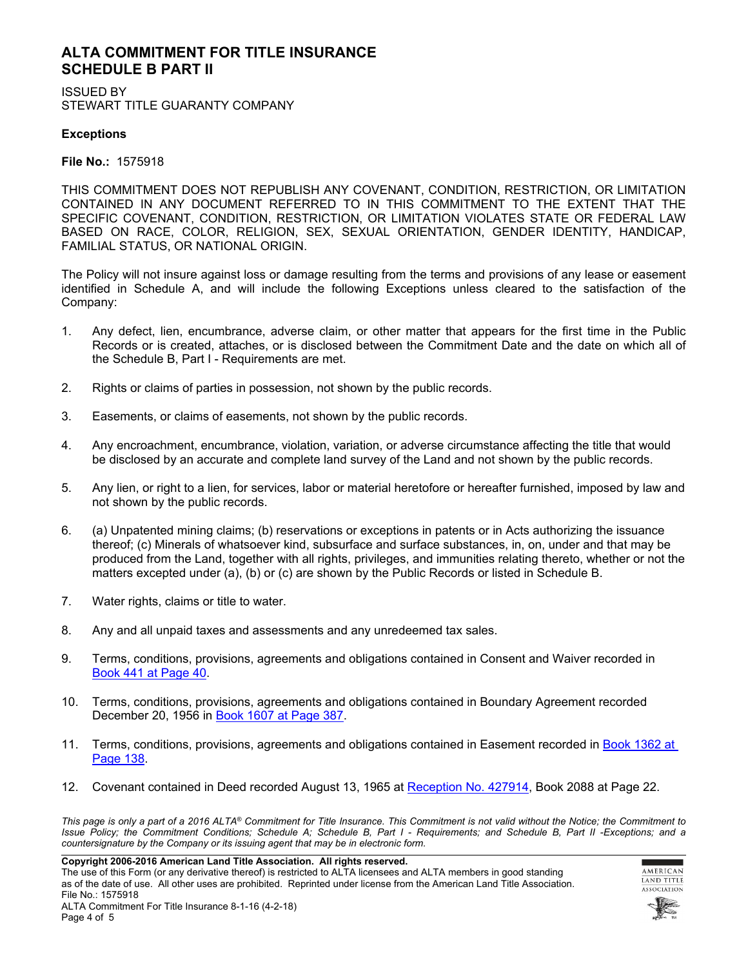## **ALTA COMMITMENT FOR TITLE INSURANCE SCHEDULE B PART II**

ISSUED BY STEWART TITLE GUARANTY COMPANY

### **Exceptions**

**File No.:** 1575918

THIS COMMITMENT DOES NOT REPUBLISH ANY COVENANT, CONDITION, RESTRICTION, OR LIMITATION CONTAINED IN ANY DOCUMENT REFERRED TO IN THIS COMMITMENT TO THE EXTENT THAT THE SPECIFIC COVENANT, CONDITION, RESTRICTION, OR LIMITATION VIOLATES STATE OR FEDERAL LAW BASED ON RACE, COLOR, RELIGION, SEX, SEXUAL ORIENTATION, GENDER IDENTITY, HANDICAP, FAMILIAL STATUS, OR NATIONAL ORIGIN.

The Policy will not insure against loss or damage resulting from the terms and provisions of any lease or easement identified in Schedule A, and will include the following Exceptions unless cleared to the satisfaction of the Company:

- 1. Any defect, lien, encumbrance, adverse claim, or other matter that appears for the first time in the Public Records or is created, attaches, or is disclosed between the Commitment Date and the date on which all of the Schedule B, Part I - Requirements are met.
- 2. Rights or claims of parties in possession, not shown by the public records.
- 3. Easements, or claims of easements, not shown by the public records.
- 4. Any encroachment, encumbrance, violation, variation, or adverse circumstance affecting the title that would be disclosed by an accurate and complete land survey of the Land and not shown by the public records.
- 5. Any lien, or right to a lien, for services, labor or material heretofore or hereafter furnished, imposed by law and not shown by the public records.
- 6. (a) Unpatented mining claims; (b) reservations or exceptions in patents or in Acts authorizing the issuance thereof; (c) Minerals of whatsoever kind, subsurface and surface substances, in, on, under and that may be produced from the Land, together with all rights, privileges, and immunities relating thereto, whether or not the matters excepted under (a), (b) or (c) are shown by the Public Records or listed in Schedule B.
- 7. Water rights, claims or title to water.
- 8. Any and all unpaid taxes and assessments and any unredeemed tax sales.
- 9. Terms, conditions, provisions, agreements and obligations contained in Consent and Waiver recorded in [Book 441 at Page 40](https://online2.stewart.com/DownloadDocument.aspx?DocumentID=172634466).
- 10. Terms, conditions, provisions, agreements and obligations contained in Boundary Agreement recorded December 20, 1956 in [Book 1607 at Page 387](https://online2.stewart.com/DownloadDocument.aspx?DocumentID=172634462).
- 11. Terms, conditions, provisions, agreements and obligations contained in Easement recorded in Book 1362 at [Page 138](https://online2.stewart.com/DownloadDocument.aspx?DocumentID=172634504).
- 12. Covenant contained in Deed recorded August 13, 1965 at [Reception No. 427914](https://online2.stewart.com/DownloadDocument.aspx?DocumentID=172634460), Book 2088 at Page 22.

*This page is only a part of a 2016 ALTA® Commitment for Title Insurance. This Commitment is not valid without the Notice; the Commitment to Issue Policy; the Commitment Conditions; Schedule A; Schedule B, Part I - Requirements; and Schedule B, Part II -Exceptions; and a countersignature by the Company or its issuing agent that may be in electronic form.*

**Copyright 2006-2016 American Land Title Association. All rights reserved.** 

The use of this Form (or any derivative thereof) is restricted to ALTA licensees and ALTA members in good standing as of the date of use. All other uses are prohibited. Reprinted under license from the American Land Title Association. File No.: 1575918



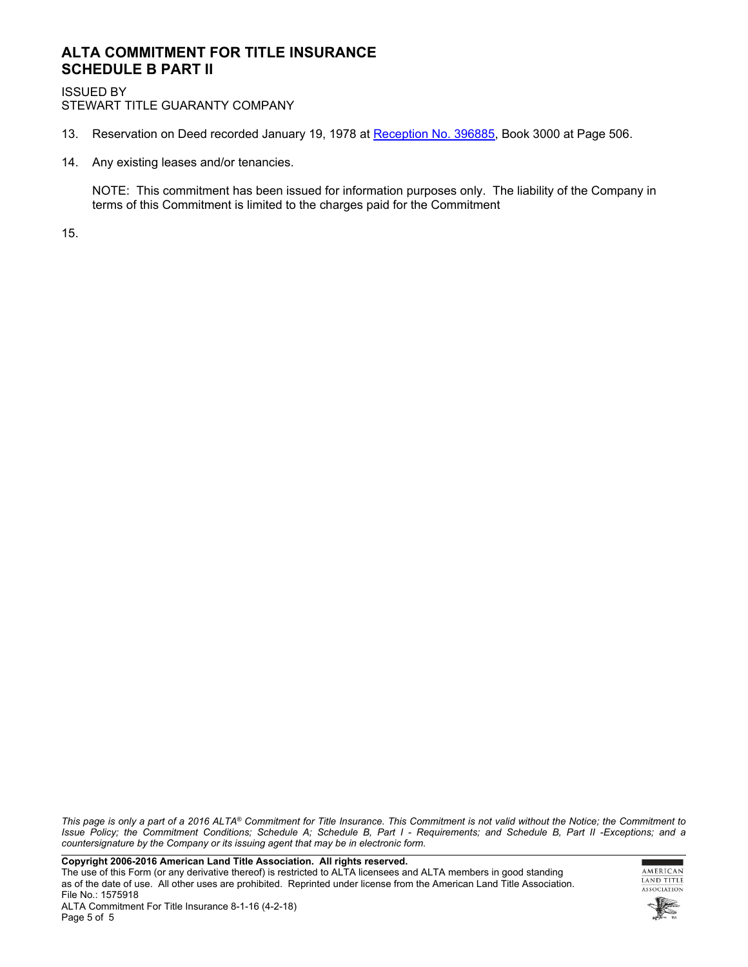## **ALTA COMMITMENT FOR TITLE INSURANCE SCHEDULE B PART II**

ISSUED BY STEWART TITLE GUARANTY COMPANY

- 13. Reservation on Deed recorded January 19, 1978 at [Reception No. 396885](https://online2.stewart.com/DownloadDocument.aspx?DocumentID=172634461), Book 3000 at Page 506.
- 14. Any existing leases and/or tenancies.

NOTE: This commitment has been issued for information purposes only. The liability of the Company in terms of this Commitment is limited to the charges paid for the Commitment

15.

*This page is only a part of a 2016 ALTA® Commitment for Title Insurance. This Commitment is not valid without the Notice; the Commitment to Issue Policy; the Commitment Conditions; Schedule A; Schedule B, Part I - Requirements; and Schedule B, Part II -Exceptions; and a countersignature by the Company or its issuing agent that may be in electronic form.*

**Copyright 2006-2016 American Land Title Association. All rights reserved.** 

The use of this Form (or any derivative thereof) is restricted to ALTA licensees and ALTA members in good standing as of the date of use. All other uses are prohibited. Reprinted under license from the American Land Title Association. File No.: 1575918

г ۰ AMERICAN LAND TITLE ASSOCIATION

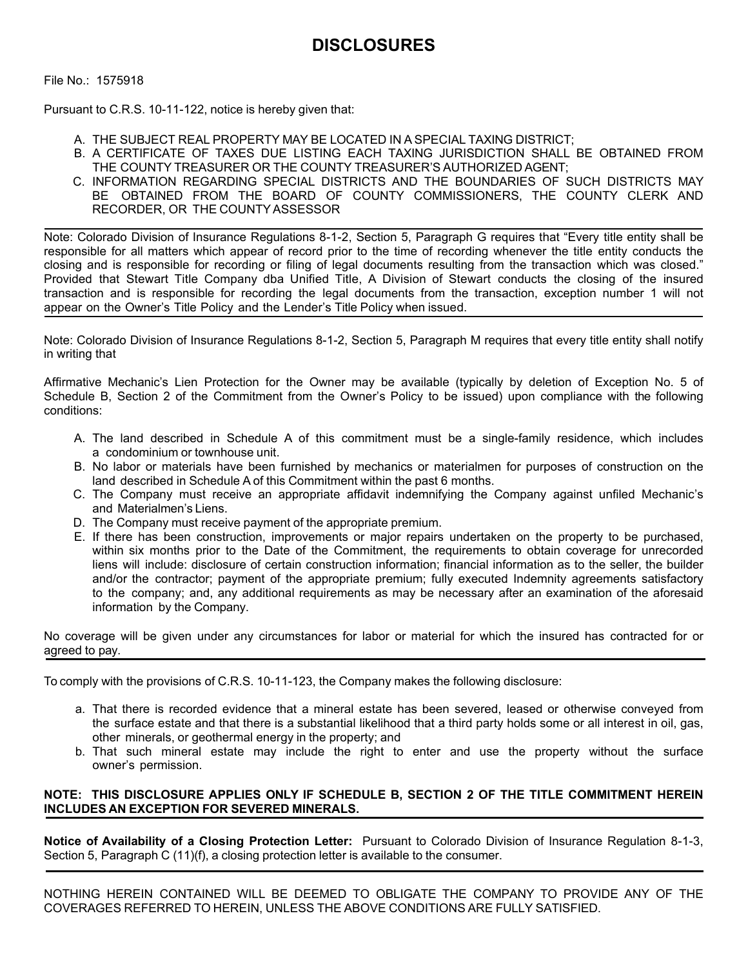File No.: 1575918

Pursuant to C.R.S. 10-11-122, notice is hereby given that:

- A. THE SUBJECT REAL PROPERTY MAY BE LOCATED IN A SPECIAL TAXING DISTRICT;
- B. A CERTIFICATE OF TAXES DUE LISTING EACH TAXING JURISDICTION SHALL BE OBTAINED FROM THE COUNTY TREASURER OR THE COUNTY TREASURER'S AUTHORIZED AGENT;
- C. INFORMATION REGARDING SPECIAL DISTRICTS AND THE BOUNDARIES OF SUCH DISTRICTS MAY BE OBTAINED FROM THE BOARD OF COUNTY COMMISSIONERS, THE COUNTY CLERK AND RECORDER, OR THE COUNTY ASSESSOR

Note: Colorado Division of Insurance Regulations 8-1-2, Section 5, Paragraph G requires that "Every title entity shall be responsible for all matters which appear of record prior to the time of recording whenever the title entity conducts the closing and is responsible for recording or filing of legal documents resulting from the transaction which was closed." Provided that Stewart Title Company dba Unified Title, A Division of Stewart conducts the closing of the insured transaction and is responsible for recording the legal documents from the transaction, exception number 1 will not appear on the Owner's Title Policy and the Lender's Title Policy when issued.

Note: Colorado Division of Insurance Regulations 8-1-2, Section 5, Paragraph M requires that every title entity shall notify in writing that

Affirmative Mechanic's Lien Protection for the Owner may be available (typically by deletion of Exception No. 5 of Schedule B, Section 2 of the Commitment from the Owner's Policy to be issued) upon compliance with the following conditions:

- A. The land described in Schedule A of this commitment must be a single-family residence, which includes a condominium or townhouse unit.
- B. No labor or materials have been furnished by mechanics or materialmen for purposes of construction on the land described in Schedule A of this Commitment within the past 6 months.
- C. The Company must receive an appropriate affidavit indemnifying the Company against unfiled Mechanic's and Materialmen's Liens.
- D. The Company must receive payment of the appropriate premium.
- E. If there has been construction, improvements or major repairs undertaken on the property to be purchased, within six months prior to the Date of the Commitment, the requirements to obtain coverage for unrecorded liens will include: disclosure of certain construction information; financial information as to the seller, the builder and/or the contractor; payment of the appropriate premium; fully executed Indemnity agreements satisfactory to the company; and, any additional requirements as may be necessary after an examination of the aforesaid information by the Company.

No coverage will be given under any circumstances for labor or material for which the insured has contracted for or agreed to pay.

To comply with the provisions of C.R.S. 10-11-123, the Company makes the following disclosure:

- a. That there is recorded evidence that a mineral estate has been severed, leased or otherwise conveyed from the surface estate and that there is a substantial likelihood that a third party holds some or all interest in oil, gas, other minerals, or geothermal energy in the property; and
- b. That such mineral estate may include the right to enter and use the property without the surface owner's permission.

## **NOTE: THIS DISCLOSURE APPLIES ONLY IF SCHEDULE B, SECTION 2 OF THE TITLE COMMITMENT HEREIN INCLUDES AN EXCEPTION FOR SEVERED MINERALS.**

**Notice of Availability of a Closing Protection Letter:** Pursuant to Colorado Division of Insurance Regulation 8-1-3, Section 5, Paragraph C (11)(f), a closing protection letter is available to the consumer.

NOTHING HEREIN CONTAINED WILL BE DEEMED TO OBLIGATE THE COMPANY TO PROVIDE ANY OF THE COVERAGES REFERRED TO HEREIN, UNLESS THE ABOVE CONDITIONS ARE FULLY SATISFIED.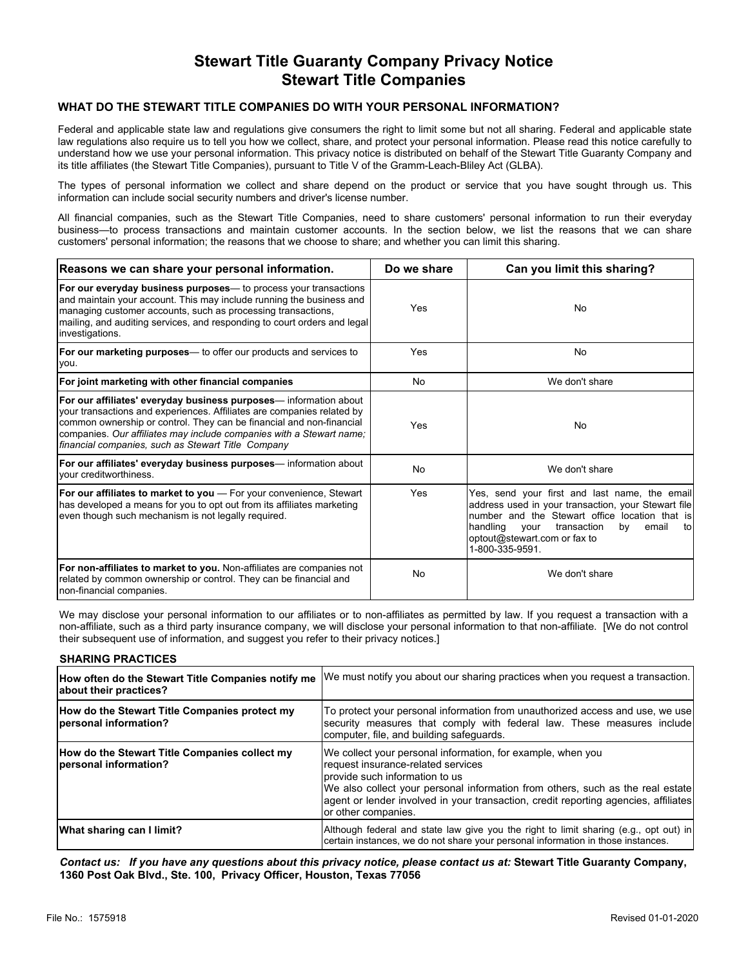## **Stewart Title Guaranty Company Privacy Notice Stewart Title Companies**

#### **WHAT DO THE STEWART TITLE COMPANIES DO WITH YOUR PERSONAL INFORMATION?**

Federal and applicable state law and regulations give consumers the right to limit some but not all sharing. Federal and applicable state law regulations also require us to tell you how we collect, share, and protect your personal information. Please read this notice carefully to understand how we use your personal information. This privacy notice is distributed on behalf of the Stewart Title Guaranty Company and its title affiliates (the Stewart Title Companies), pursuant to Title V of the Gramm-Leach-Bliley Act (GLBA).

The types of personal information we collect and share depend on the product or service that you have sought through us. This information can include social security numbers and driver's license number.

All financial companies, such as the Stewart Title Companies, need to share customers' personal information to run their everyday business—to process transactions and maintain customer accounts. In the section below, we list the reasons that we can share customers' personal information; the reasons that we choose to share; and whether you can limit this sharing.

| Reasons we can share your personal information.                                                                                                                                                                                                                                                                                                   | Do we share | Can you limit this sharing?                                                                                                                                                                                                                                        |  |
|---------------------------------------------------------------------------------------------------------------------------------------------------------------------------------------------------------------------------------------------------------------------------------------------------------------------------------------------------|-------------|--------------------------------------------------------------------------------------------------------------------------------------------------------------------------------------------------------------------------------------------------------------------|--|
| <b>For our everyday business purposes</b> — to process your transactions<br>and maintain your account. This may include running the business and<br>managing customer accounts, such as processing transactions,<br>mailing, and auditing services, and responding to court orders and legal<br>investigations.                                   | Yes         | No                                                                                                                                                                                                                                                                 |  |
| <b>For our marketing purposes</b> — to offer our products and services to<br>you.                                                                                                                                                                                                                                                                 | Yes         | No                                                                                                                                                                                                                                                                 |  |
| For joint marketing with other financial companies                                                                                                                                                                                                                                                                                                | No          | We don't share                                                                                                                                                                                                                                                     |  |
| For our affiliates' everyday business purposes— information about<br>your transactions and experiences. Affiliates are companies related by<br>common ownership or control. They can be financial and non-financial<br>companies. Our affiliates may include companies with a Stewart name;<br>financial companies, such as Stewart Title Company | Yes         | No                                                                                                                                                                                                                                                                 |  |
| <b>For our affiliates' everyday business purposes</b> — information about<br>Ivour creditworthiness.                                                                                                                                                                                                                                              | No          | We don't share                                                                                                                                                                                                                                                     |  |
| <b>For our affiliates to market to you</b> — For your convenience, Stewart<br>has developed a means for you to opt out from its affiliates marketing<br>even though such mechanism is not legally required.                                                                                                                                       | Yes         | Yes, send your first and last name, the email<br>address used in your transaction, your Stewart file<br>number and the Stewart office location that is<br>handling<br>email<br>transaction<br>by<br>vour<br>tol<br>optout@stewart.com or fax to<br>1-800-335-9591. |  |
| <b>For non-affiliates to market to you.</b> Non-affiliates are companies not<br>related by common ownership or control. They can be financial and<br>non-financial companies.                                                                                                                                                                     | No          | We don't share                                                                                                                                                                                                                                                     |  |

We may disclose your personal information to our affiliates or to non-affiliates as permitted by law. If you request a transaction with a non-affiliate, such as a third party insurance company, we will disclose your personal information to that non-affiliate. [We do not control their subsequent use of information, and suggest you refer to their privacy notices.]

#### **SHARING PRACTICES**

| How often do the Stewart Title Companies notify me<br>about their practices? | We must notify you about our sharing practices when you request a transaction.                                                                                                                                                                                                                                                        |
|------------------------------------------------------------------------------|---------------------------------------------------------------------------------------------------------------------------------------------------------------------------------------------------------------------------------------------------------------------------------------------------------------------------------------|
| How do the Stewart Title Companies protect my<br>personal information?       | To protect your personal information from unauthorized access and use, we use<br>security measures that comply with federal law. These measures include<br>computer, file, and building safeguards.                                                                                                                                   |
| How do the Stewart Title Companies collect my<br>personal information?       | We collect your personal information, for example, when you<br>request insurance-related services<br>provide such information to us<br>We also collect your personal information from others, such as the real estate<br> agent or lender involved in your transaction, credit reporting agencies, affiliates <br>or other companies. |
| What sharing can I limit?                                                    | Although federal and state law give you the right to limit sharing (e.g., opt out) in<br>certain instances, we do not share your personal information in those instances.                                                                                                                                                             |

*Contact us: If you have any questions about this privacy notice, please contact us at:* **Stewart Title Guaranty Company, 1360 Post Oak Blvd., Ste. 100, Privacy Officer, Houston, Texas 77056**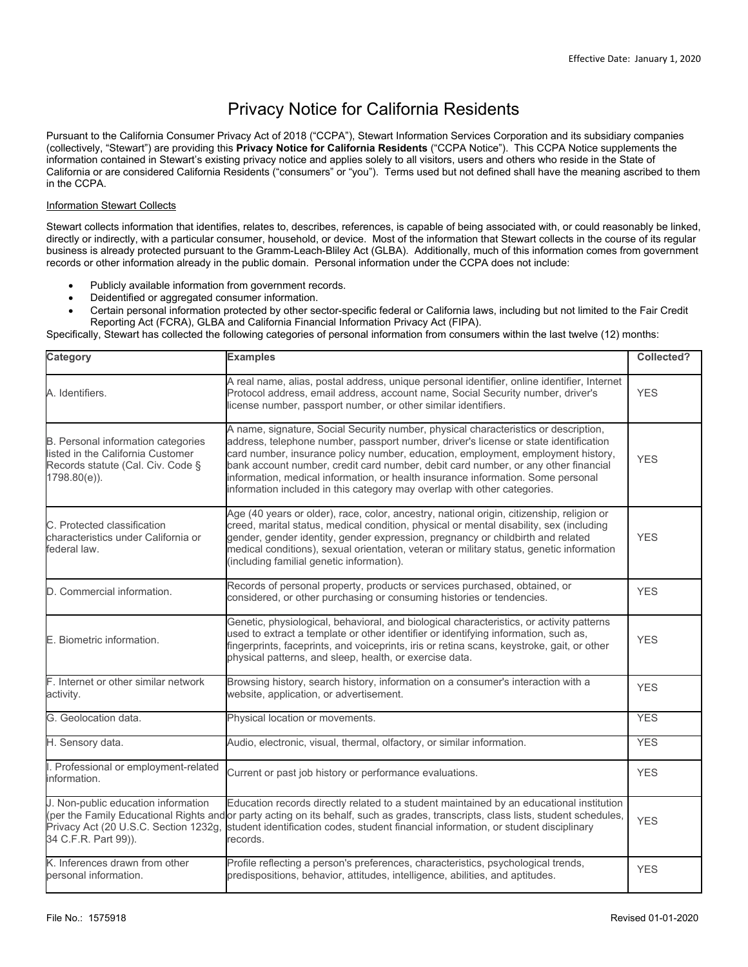# Privacy Notice for California Residents

Pursuant to the California Consumer Privacy Act of 2018 ("CCPA"), Stewart Information Services Corporation and its subsidiary companies (collectively, "Stewart") are providing this **Privacy Notice for California Residents** ("CCPA Notice"). This CCPA Notice supplements the information contained in Stewart's existing privacy notice and applies solely to all visitors, users and others who reside in the State of California or are considered California Residents ("consumers" or "you"). Terms used but not defined shall have the meaning ascribed to them in the CCPA.

#### Information Stewart Collects

Stewart collects information that identifies, relates to, describes, references, is capable of being associated with, or could reasonably be linked, directly or indirectly, with a particular consumer, household, or device. Most of the information that Stewart collects in the course of its regular business is already protected pursuant to the Gramm-Leach-Bliley Act (GLBA). Additionally, much of this information comes from government records or other information already in the public domain. Personal information under the CCPA does not include:

- Publicly available information from government records.
- Deidentified or aggregated consumer information.
- Certain personal information protected by other sector-specific federal or California laws, including but not limited to the Fair Credit Reporting Act (FCRA), GLBA and California Financial Information Privacy Act (FIPA).

Specifically, Stewart has collected the following categories of personal information from consumers within the last twelve (12) months:

| Category                                                                                                                               | <b>Examples</b>                                                                                                                                                                                                                                                                                                                                                                                                                                                                                                       | Collected? |
|----------------------------------------------------------------------------------------------------------------------------------------|-----------------------------------------------------------------------------------------------------------------------------------------------------------------------------------------------------------------------------------------------------------------------------------------------------------------------------------------------------------------------------------------------------------------------------------------------------------------------------------------------------------------------|------------|
| A. Identifiers.                                                                                                                        | A real name, alias, postal address, unique personal identifier, online identifier, Internet<br>Protocol address, email address, account name, Social Security number, driver's<br>license number, passport number, or other similar identifiers.                                                                                                                                                                                                                                                                      | <b>YES</b> |
| <b>B.</b> Personal information categories<br>listed in the California Customer<br>Records statute (Cal. Civ. Code §<br>$1798.80(e)$ ). | A name, signature, Social Security number, physical characteristics or description,<br>address, telephone number, passport number, driver's license or state identification<br>card number, insurance policy number, education, employment, employment history,<br>bank account number, credit card number, debit card number, or any other financial<br>information, medical information, or health insurance information. Some personal<br>information included in this category may overlap with other categories. | <b>YES</b> |
| C. Protected classification<br>characteristics under California or<br>federal law.                                                     | Age (40 years or older), race, color, ancestry, national origin, citizenship, religion or<br>creed, marital status, medical condition, physical or mental disability, sex (including<br>gender, gender identity, gender expression, pregnancy or childbirth and related<br>medical conditions), sexual orientation, veteran or military status, genetic information<br>(including familial genetic information).                                                                                                      | <b>YES</b> |
| D. Commercial information.                                                                                                             | Records of personal property, products or services purchased, obtained, or<br>considered, or other purchasing or consuming histories or tendencies.                                                                                                                                                                                                                                                                                                                                                                   | <b>YES</b> |
| E. Biometric information.                                                                                                              | Genetic, physiological, behavioral, and biological characteristics, or activity patterns<br>used to extract a template or other identifier or identifying information, such as,<br>fingerprints, faceprints, and voiceprints, iris or retina scans, keystroke, gait, or other<br>physical patterns, and sleep, health, or exercise data.                                                                                                                                                                              | <b>YES</b> |
| F. Internet or other similar network<br>activity.                                                                                      | Browsing history, search history, information on a consumer's interaction with a<br>website, application, or advertisement.                                                                                                                                                                                                                                                                                                                                                                                           | <b>YES</b> |
| G. Geolocation data.                                                                                                                   | Physical location or movements.                                                                                                                                                                                                                                                                                                                                                                                                                                                                                       | <b>YES</b> |
| H. Sensory data.                                                                                                                       | Audio, electronic, visual, thermal, olfactory, or similar information.                                                                                                                                                                                                                                                                                                                                                                                                                                                | <b>YES</b> |
| I. Professional or employment-related<br>information.                                                                                  | Current or past job history or performance evaluations.                                                                                                                                                                                                                                                                                                                                                                                                                                                               | <b>YES</b> |
| J. Non-public education information<br>Privacy Act (20 U.S.C. Section 1232g,<br>34 C.F.R. Part 99)).                                   | Education records directly related to a student maintained by an educational institution<br>(per the Family Educational Rights and or party acting on its behalf, such as grades, transcripts, class lists, student schedules,<br>student identification codes, student financial information, or student disciplinary<br>records.                                                                                                                                                                                    | <b>YES</b> |
| K. Inferences drawn from other<br>personal information.                                                                                | Profile reflecting a person's preferences, characteristics, psychological trends,<br>predispositions, behavior, attitudes, intelligence, abilities, and aptitudes.                                                                                                                                                                                                                                                                                                                                                    | <b>YES</b> |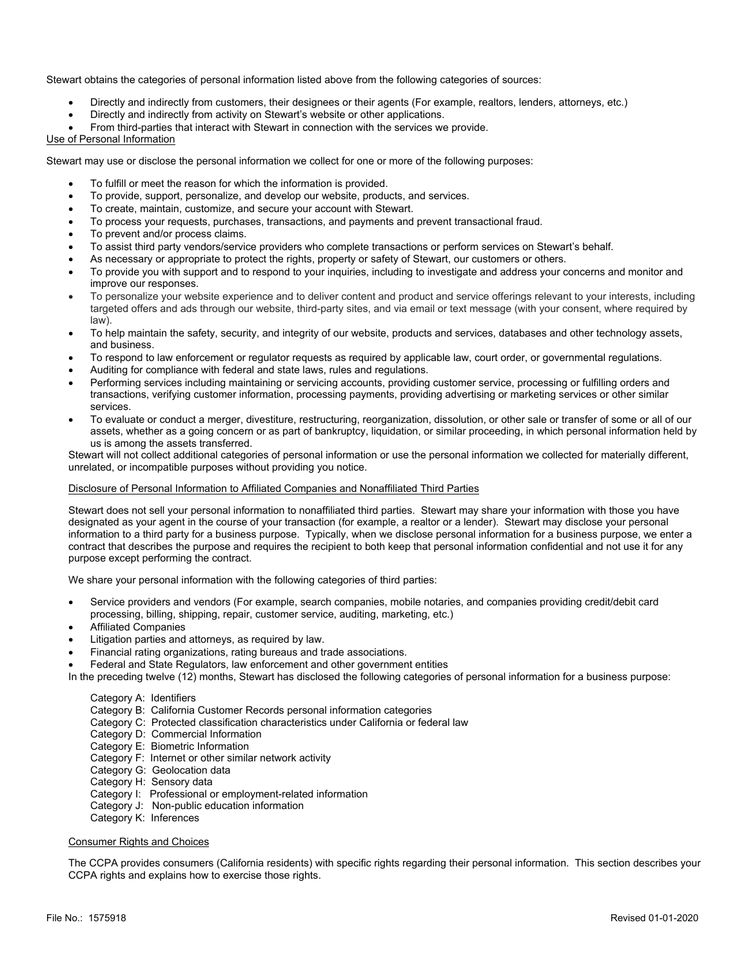Stewart obtains the categories of personal information listed above from the following categories of sources:

- Directly and indirectly from customers, their designees or their agents (For example, realtors, lenders, attorneys, etc.)
- Directly and indirectly from activity on Stewart's website or other applications.
- From third-parties that interact with Stewart in connection with the services we provide.

#### Use of Personal Information

Stewart may use or disclose the personal information we collect for one or more of the following purposes:

- To fulfill or meet the reason for which the information is provided.
- To provide, support, personalize, and develop our website, products, and services.
- To create, maintain, customize, and secure your account with Stewart.
- To process your requests, purchases, transactions, and payments and prevent transactional fraud.
- To prevent and/or process claims.
- To assist third party vendors/service providers who complete transactions or perform services on Stewart's behalf.
- As necessary or appropriate to protect the rights, property or safety of Stewart, our customers or others.
- To provide you with support and to respond to your inquiries, including to investigate and address your concerns and monitor and improve our responses.
- To personalize your website experience and to deliver content and product and service offerings relevant to your interests, including targeted offers and ads through our website, third-party sites, and via email or text message (with your consent, where required by law).
- To help maintain the safety, security, and integrity of our website, products and services, databases and other technology assets, and business.
- To respond to law enforcement or regulator requests as required by applicable law, court order, or governmental regulations.
- Auditing for compliance with federal and state laws, rules and regulations.
- Performing services including maintaining or servicing accounts, providing customer service, processing or fulfilling orders and transactions, verifying customer information, processing payments, providing advertising or marketing services or other similar services.
- To evaluate or conduct a merger, divestiture, restructuring, reorganization, dissolution, or other sale or transfer of some or all of our assets, whether as a going concern or as part of bankruptcy, liquidation, or similar proceeding, in which personal information held by us is among the assets transferred.

Stewart will not collect additional categories of personal information or use the personal information we collected for materially different, unrelated, or incompatible purposes without providing you notice.

#### Disclosure of Personal Information to Affiliated Companies and Nonaffiliated Third Parties

Stewart does not sell your personal information to nonaffiliated third parties. Stewart may share your information with those you have designated as your agent in the course of your transaction (for example, a realtor or a lender). Stewart may disclose your personal information to a third party for a business purpose. Typically, when we disclose personal information for a business purpose, we enter a contract that describes the purpose and requires the recipient to both keep that personal information confidential and not use it for any purpose except performing the contract.

We share your personal information with the following categories of third parties:

- Service providers and vendors (For example, search companies, mobile notaries, and companies providing credit/debit card processing, billing, shipping, repair, customer service, auditing, marketing, etc.)
- Affiliated Companies
- Litigation parties and attorneys, as required by law.
- Financial rating organizations, rating bureaus and trade associations.
- Federal and State Regulators, law enforcement and other government entities
- In the preceding twelve (12) months, Stewart has disclosed the following categories of personal information for a business purpose:

#### Category A: Identifiers

- Category B: California Customer Records personal information categories
- Category C: Protected classification characteristics under California or federal law
- Category D: Commercial Information
- Category E: Biometric Information
- Category F: Internet or other similar network activity
- Category G: Geolocation data
- Category H: Sensory data
- Category I: Professional or employment-related information
- Category J: Non-public education information
- Category K: Inferences

#### Consumer Rights and Choices

The CCPA provides consumers (California residents) with specific rights regarding their personal information. This section describes your CCPA rights and explains how to exercise those rights.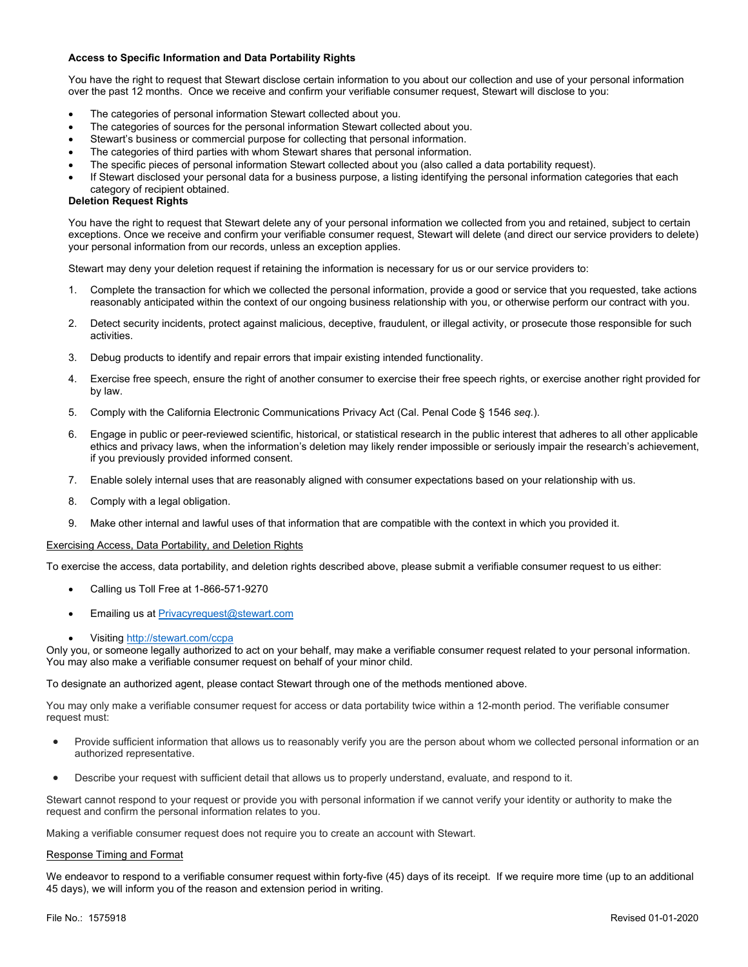#### **Access to Specific Information and Data Portability Rights**

You have the right to request that Stewart disclose certain information to you about our collection and use of your personal information over the past 12 months. Once we receive and confirm your verifiable consumer request, Stewart will disclose to you:

- The categories of personal information Stewart collected about you.
- The categories of sources for the personal information Stewart collected about you.
- Stewart's business or commercial purpose for collecting that personal information.
- The categories of third parties with whom Stewart shares that personal information.
- The specific pieces of personal information Stewart collected about you (also called a data portability request).
- If Stewart disclosed your personal data for a business purpose, a listing identifying the personal information categories that each category of recipient obtained.

#### **Deletion Request Rights**

You have the right to request that Stewart delete any of your personal information we collected from you and retained, subject to certain exceptions. Once we receive and confirm your verifiable consumer request, Stewart will delete (and direct our service providers to delete) your personal information from our records, unless an exception applies.

Stewart may deny your deletion request if retaining the information is necessary for us or our service providers to:

- 1. Complete the transaction for which we collected the personal information, provide a good or service that you requested, take actions reasonably anticipated within the context of our ongoing business relationship with you, or otherwise perform our contract with you.
- 2. Detect security incidents, protect against malicious, deceptive, fraudulent, or illegal activity, or prosecute those responsible for such activities.
- 3. Debug products to identify and repair errors that impair existing intended functionality.
- 4. Exercise free speech, ensure the right of another consumer to exercise their free speech rights, or exercise another right provided for by law.
- 5. Comply with the California Electronic Communications Privacy Act (Cal. Penal Code § 1546 *seq.*).
- 6. Engage in public or peer-reviewed scientific, historical, or statistical research in the public interest that adheres to all other applicable ethics and privacy laws, when the information's deletion may likely render impossible or seriously impair the research's achievement, if you previously provided informed consent.
- 7. Enable solely internal uses that are reasonably aligned with consumer expectations based on your relationship with us.
- 8. Comply with a legal obligation.
- 9. Make other internal and lawful uses of that information that are compatible with the context in which you provided it.

#### Exercising Access, Data Portability, and Deletion Rights

To exercise the access, data portability, and deletion rights described above, please submit a verifiable consumer request to us either:

- Calling us Toll Free at 1-866-571-9270
- Emailing us at **[Privacyrequest@stewart.com](mailto:Privacyrequest@stewart.com)**
- Visiting <http://stewart.com/ccpa>

Only you, or someone legally authorized to act on your behalf, may make a verifiable consumer request related to your personal information. You may also make a verifiable consumer request on behalf of your minor child.

To designate an authorized agent, please contact Stewart through one of the methods mentioned above.

You may only make a verifiable consumer request for access or data portability twice within a 12-month period. The verifiable consumer request must:

- Provide sufficient information that allows us to reasonably verify you are the person about whom we collected personal information or an authorized representative.
- Describe your request with sufficient detail that allows us to properly understand, evaluate, and respond to it.

Stewart cannot respond to your request or provide you with personal information if we cannot verify your identity or authority to make the request and confirm the personal information relates to you.

Making a verifiable consumer request does not require you to create an account with Stewart.

#### Response Timing and Format

We endeavor to respond to a verifiable consumer request within forty-five (45) days of its receipt. If we require more time (up to an additional 45 days), we will inform you of the reason and extension period in writing.